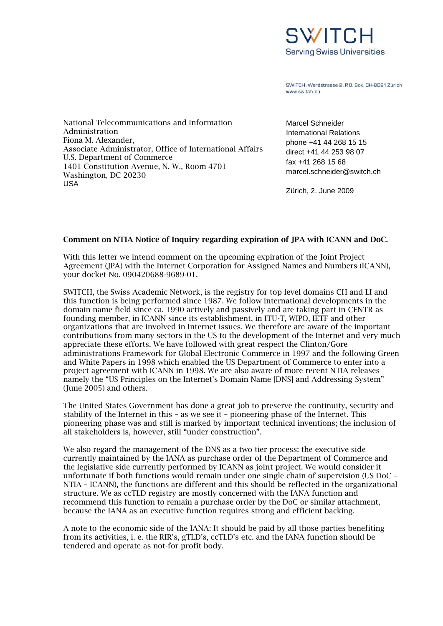

SWITCH, Werdstrasse 2, P.O. Box, CH-8021 Zürich www.switch.ch

National Telecommunications and Information Administration Fiona M. Alexander, Associate Administrator, Office of International Affairs U.S. Department of Commerce 1401 Constitution Avenue, N. W., Room 4701 Washington, DC 20230 USA

Marcel Schneider International Relations phone +41 44 268 15 15 direct +41 44 253 98 07 fax +41 268 15 68 marcel.schneider@switch.ch

Zürich, 2. June 2009

## **Comment on NTIA Notice of Inquiry regarding expiration of JPA with ICANN and DoC.**

With this letter we intend comment on the upcoming expiration of the Joint Project Agreement (JPA) with the Internet Corporation for Assigned Names and Numbers (ICANN), your docket No. 090420688-9689-01.

SWITCH, the Swiss Academic Network, is the registry for top level domains CH and LI and this function is being performed since 1987. We follow international developments in the domain name field since ca. 1990 actively and passively and are taking part in CENTR as founding member, in ICANN since its establishment, in ITU-T, WIPO, IETF and other organizations that are involved in Internet issues. We therefore are aware of the important contributions from many sectors in the US to the development of the Internet and very much appreciate these efforts. We have followed with great respect the Clinton/Gore administrations Framework for Global Electronic Commerce in 1997 and the following Green and White Papers in 1998 which enabled the US Department of Commerce to enter into a project agreement with ICANN in 1998. We are also aware of more recent NTIA releases namely the "US Principles on the Internet's Domain Name [DNS] and Addressing System" (June 2005) and others.

The United States Government has done a great job to preserve the continuity, security and stability of the Internet in this – as we see it – pioneering phase of the Internet. This pioneering phase was and still is marked by important technical inventions; the inclusion of all stakeholders is, however, still "under construction".

We also regard the management of the DNS as a two tier process: the executive side currently maintained by the IANA as purchase order of the Department of Commerce and the legislative side currently performed by ICANN as joint project. We would consider it unfortunate if both functions would remain under one single chain of supervision (US DoC – NTIA – ICANN), the functions are different and this should be reflected in the organizational structure. We as ccTLD registry are mostly concerned with the IANA function and recommend this function to remain a purchase order by the DoC or similar attachment, because the IANA as an executive function requires strong and efficient backing.

A note to the economic side of the IANA: It should be paid by all those parties benefiting from its activities, i. e. the RIR's, gTLD's, ccTLD's etc. and the IANA function should be tendered and operate as not-for profit body.